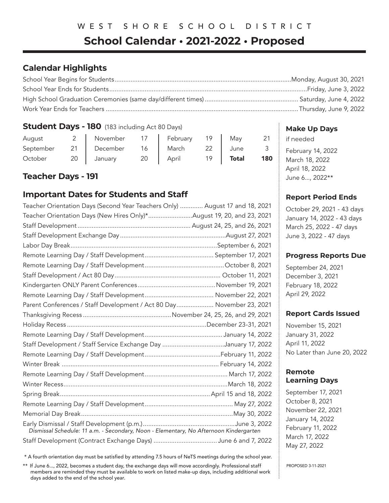# WEST SHORE SCHOOL DISTRICT

# **School Calendar • 2021-2022 • Proposed**

# **Calendar Highlights**

### **Student Days - 180** (183 including Act 80 Days)

| August    |    | November | 17 | February | 19 | May          |     |
|-----------|----|----------|----|----------|----|--------------|-----|
| September | 21 | December | 16 | March    |    | June         |     |
| October   | 20 | January  | 20 | April    |    | <b>Total</b> | 180 |

# **Teacher Days - 191**

# **Important Dates for Students and Staff**

| Teacher Orientation Days (Second Year Teachers Only)  August 17 and 18, 2021          |  |
|---------------------------------------------------------------------------------------|--|
| Teacher Orientation Days (New Hires Only)*August 19, 20, and 23, 2021                 |  |
|                                                                                       |  |
|                                                                                       |  |
|                                                                                       |  |
|                                                                                       |  |
|                                                                                       |  |
|                                                                                       |  |
|                                                                                       |  |
|                                                                                       |  |
| Parent Conferences / Staff Development / Act 80 Day November 23, 2021                 |  |
|                                                                                       |  |
|                                                                                       |  |
|                                                                                       |  |
| Staff Development / Staff Service Exchange Day January 17, 2022                       |  |
|                                                                                       |  |
|                                                                                       |  |
|                                                                                       |  |
|                                                                                       |  |
|                                                                                       |  |
|                                                                                       |  |
|                                                                                       |  |
| Dismissal Schedule: 11 a.m. - Secondary, Noon - Elementary, No Afternoon Kindergarten |  |
| Staff Development (Contract Exchange Days) June 6 and 7, 2022                         |  |

\* A fourth orientation day must be satisfied by attending 7.5 hours of NeTS meetings during the school year.

\*\* If June 6..., 2022, becomes a student day, the exchange days will move accordingly. Professional staff members are reminded they must be available to work on listed make-up days, including additional work days added to the end of the school year.

### **Make Up Days**

if needed February 14, 2022 March 18, 2022 April 18, 2022 June 6..., 2022\*\*

### **Report Period Ends**

October 29, 2021 - 43 days January 14, 2022 - 43 days March 25, 2022 - 47 days June 3, 2022 - 47 days

#### **Progress Reports Due**

September 24, 2021 December 3, 2021 February 18, 2022 April 29, 2022

#### **Report Cards Issued**

November 15, 2021 January 31, 2022 April 11, 2022 No Later than June 20, 2022

## **Remote Learning Days**

September 17, 2021 October 8, 2021 November 22, 2021 January 14, 2022 February 11, 2022 March 17, 2022 May 27, 2022

PROPOSED 3-11-2021